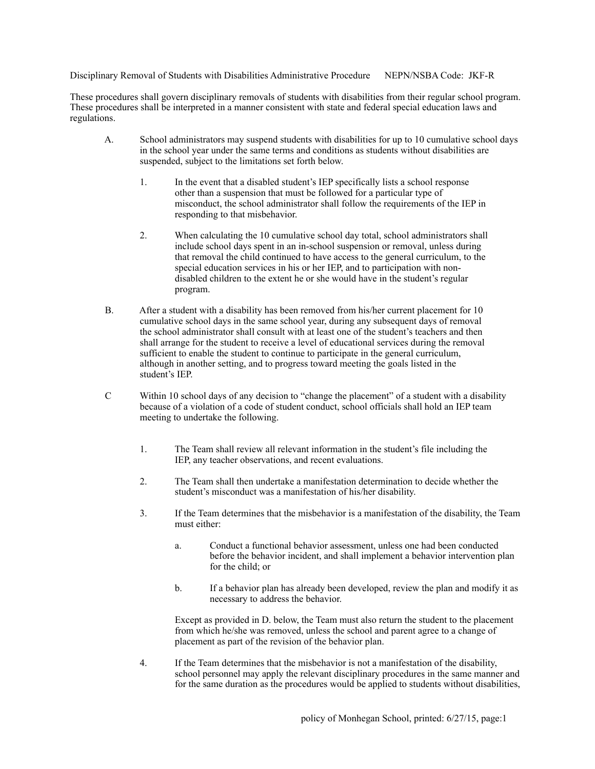Disciplinary Removal of Students with Disabilities Administrative Procedure NEPN/NSBA Code: JKF-R

These procedures shall govern disciplinary removals of students with disabilities from their regular school program. These procedures shall be interpreted in a manner consistent with state and federal special education laws and regulations.

- A. School administrators may suspend students with disabilities for up to 10 cumulative school days in the school year under the same terms and conditions as students without disabilities are suspended, subject to the limitations set forth below.
	- 1. In the event that a disabled student's IEP specifically lists a school response other than a suspension that must be followed for a particular type of misconduct, the school administrator shall follow the requirements of the IEP in responding to that misbehavior.
	- 2. When calculating the 10 cumulative school day total, school administrators shall include school days spent in an in-school suspension or removal, unless during that removal the child continued to have access to the general curriculum, to the special education services in his or her IEP, and to participation with nondisabled children to the extent he or she would have in the student's regular program.
- B. After a student with a disability has been removed from his/her current placement for 10 cumulative school days in the same school year, during any subsequent days of removal the school administrator shall consult with at least one of the student's teachers and then shall arrange for the student to receive a level of educational services during the removal sufficient to enable the student to continue to participate in the general curriculum, although in another setting, and to progress toward meeting the goals listed in the student's IEP.
- C Within 10 school days of any decision to "change the placement" of a student with a disability because of a violation of a code of student conduct, school officials shall hold an IEP team meeting to undertake the following.
	- 1. The Team shall review all relevant information in the student's file including the IEP, any teacher observations, and recent evaluations.
	- 2. The Team shall then undertake a manifestation determination to decide whether the student's misconduct was a manifestation of his/her disability.
	- 3. If the Team determines that the misbehavior is a manifestation of the disability, the Team must either:
		- a. Conduct a functional behavior assessment, unless one had been conducted before the behavior incident, and shall implement a behavior intervention plan for the child; or
		- b. If a behavior plan has already been developed, review the plan and modify it as necessary to address the behavior.

 Except as provided in D. below, the Team must also return the student to the placement from which he/she was removed, unless the school and parent agree to a change of placement as part of the revision of the behavior plan.

 4. If the Team determines that the misbehavior is not a manifestation of the disability, school personnel may apply the relevant disciplinary procedures in the same manner and for the same duration as the procedures would be applied to students without disabilities,